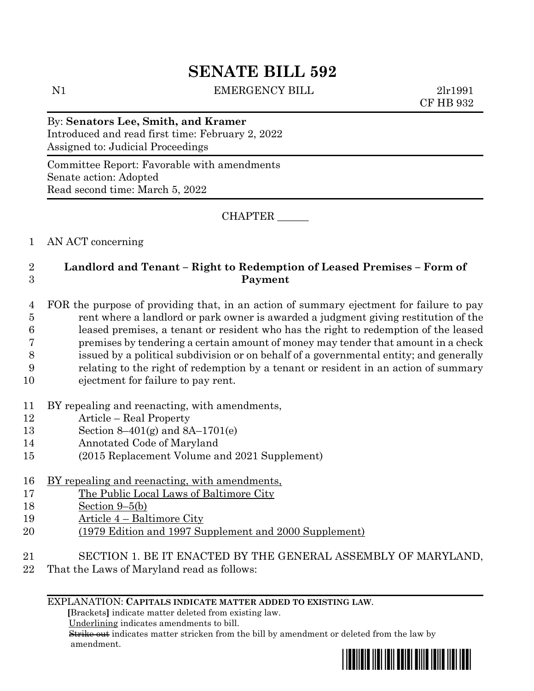# **SENATE BILL 592**

N1 EMERGENCY BILL 2lr1991

CF HB 932

By: **Senators Lee, Smith, and Kramer** Introduced and read first time: February 2, 2022 Assigned to: Judicial Proceedings

Committee Report: Favorable with amendments Senate action: Adopted Read second time: March 5, 2022

CHAPTER \_\_\_\_\_\_

1 AN ACT concerning

# 2 **Landlord and Tenant – Right to Redemption of Leased Premises – Form of**  3 **Payment**

 FOR the purpose of providing that, in an action of summary ejectment for failure to pay rent where a landlord or park owner is awarded a judgment giving restitution of the leased premises, a tenant or resident who has the right to redemption of the leased premises by tendering a certain amount of money may tender that amount in a check issued by a political subdivision or on behalf of a governmental entity; and generally relating to the right of redemption by a tenant or resident in an action of summary

- 10 ejectment for failure to pay rent.
- 11 BY repealing and reenacting, with amendments,
- 12 Article Real Property
- 13 Section 8–401(g) and 8A–1701(e)
- 14 Annotated Code of Maryland
- 15 (2015 Replacement Volume and 2021 Supplement)
- 16 BY repealing and reenacting, with amendments,
- 17 The Public Local Laws of Baltimore City
- 18 Section 9–5(b)
- 19 Article 4 Baltimore City
- 20 (1979 Edition and 1997 Supplement and 2000 Supplement)
- 21 SECTION 1. BE IT ENACTED BY THE GENERAL ASSEMBLY OF MARYLAND,
- 22 That the Laws of Maryland read as follows:

#### EXPLANATION: **CAPITALS INDICATE MATTER ADDED TO EXISTING LAW**.

 **[**Brackets**]** indicate matter deleted from existing law.

Underlining indicates amendments to bill.

 Strike out indicates matter stricken from the bill by amendment or deleted from the law by amendment.

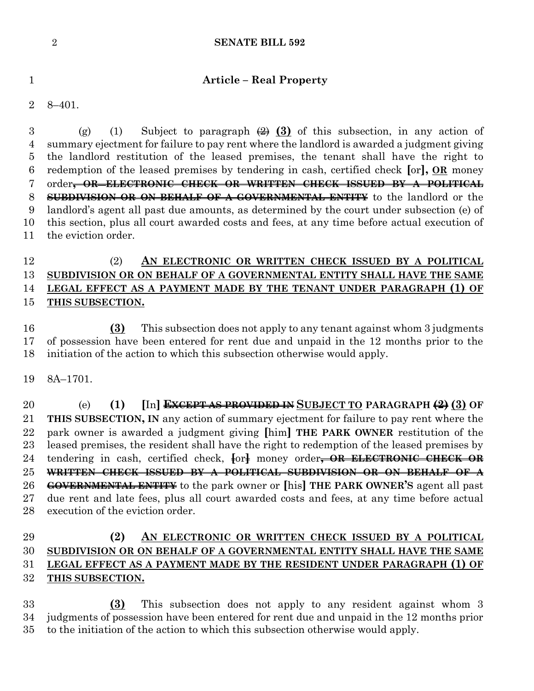#### **SENATE BILL 592**

#### **Article – Real Property**

8–401.

3 (g) (1) Subject to paragraph  $\left(\frac{2}{2}\right)$  (3) of this subsection, in any action of summary ejectment for failure to pay rent where the landlord is awarded a judgment giving the landlord restitution of the leased premises, the tenant shall have the right to redemption of the leased premises by tendering in cash, certified check **[**or**], OR** money order**, OR ELECTRONIC CHECK OR WRITTEN CHECK ISSUED BY A POLITICAL SUBDIVISION OR ON BEHALF OF A GOVERNMENTAL ENTITY** to the landlord or the landlord's agent all past due amounts, as determined by the court under subsection (e) of this section, plus all court awarded costs and fees, at any time before actual execution of the eviction order.

# (2) **AN ELECTRONIC OR WRITTEN CHECK ISSUED BY A POLITICAL SUBDIVISION OR ON BEHALF OF A GOVERNMENTAL ENTITY SHALL HAVE THE SAME LEGAL EFFECT AS A PAYMENT MADE BY THE TENANT UNDER PARAGRAPH (1) OF THIS SUBSECTION.**

 **(3)** This subsection does not apply to any tenant against whom 3 judgments of possession have been entered for rent due and unpaid in the 12 months prior to the initiation of the action to which this subsection otherwise would apply.

8A–1701.

 (e) **(1) [**In**] EXCEPT AS PROVIDED IN SUBJECT TO PARAGRAPH (2) (3) OF THIS SUBSECTION, IN** any action of summary ejectment for failure to pay rent where the park owner is awarded a judgment giving **[**him**] THE PARK OWNER** restitution of the leased premises, the resident shall have the right to redemption of the leased premises by tendering in cash, certified check, **[**or**]** money order**, OR ELECTRONIC CHECK OR WRITTEN CHECK ISSUED BY A POLITICAL SUBDIVISION OR ON BEHALF OF A GOVERNMENTAL ENTITY** to the park owner or **[**his**] THE PARK OWNER'S** agent all past due rent and late fees, plus all court awarded costs and fees, at any time before actual execution of the eviction order.

# **(2) AN ELECTRONIC OR WRITTEN CHECK ISSUED BY A POLITICAL SUBDIVISION OR ON BEHALF OF A GOVERNMENTAL ENTITY SHALL HAVE THE SAME LEGAL EFFECT AS A PAYMENT MADE BY THE RESIDENT UNDER PARAGRAPH (1) OF THIS SUBSECTION.**

 **(3)** This subsection does not apply to any resident against whom 3 judgments of possession have been entered for rent due and unpaid in the 12 months prior to the initiation of the action to which this subsection otherwise would apply.